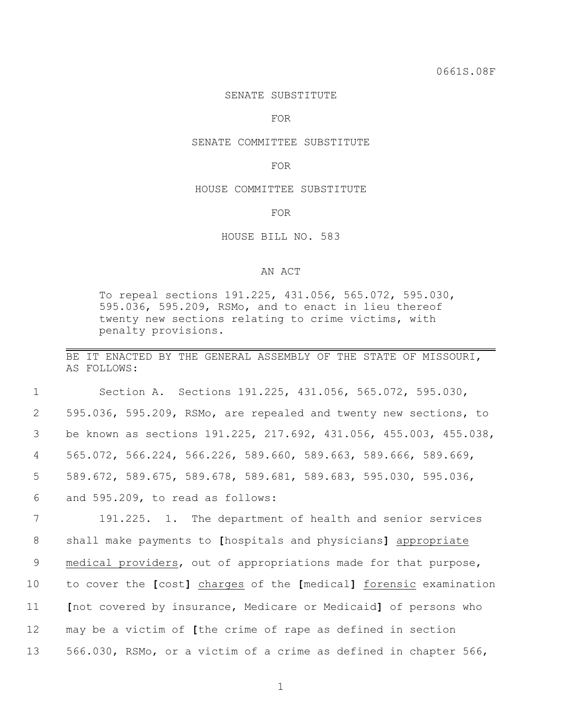## SENATE SUBSTITUTE

FOR

#### SENATE COMMITTEE SUBSTITUTE

FOR

### HOUSE COMMITTEE SUBSTITUTE

FOR

## HOUSE BILL NO. 583

# AN ACT

To repeal sections 191.225, 431.056, 565.072, 595.030, 595.036, 595.209, RSMo, and to enact in lieu thereof twenty new sections relating to crime victims, with penalty provisions.

BE IT ENACTED BY THE GENERAL ASSEMBLY OF THE STATE OF MISSOURI, AS FOLLOWS:

 Section A. Sections 191.225, 431.056, 565.072, 595.030, 595.036, 595.209, RSMo, are repealed and twenty new sections, to be known as sections 191.225, 217.692, 431.056, 455.003, 455.038, 565.072, 566.224, 566.226, 589.660, 589.663, 589.666, 589.669, 589.672, 589.675, 589.678, 589.681, 589.683, 595.030, 595.036, and 595.209, to read as follows:

 191.225. 1. The department of health and senior services shall make payments to **[**hospitals and physicians**]** appropriate medical providers, out of appropriations made for that purpose, to cover the **[**cost**]** charges of the **[**medical**]** forensic examination **[**not covered by insurance, Medicare or Medicaid**]** of persons who may be a victim of **[**the crime of rape as defined in section 566.030, RSMo, or a victim of a crime as defined in chapter 566,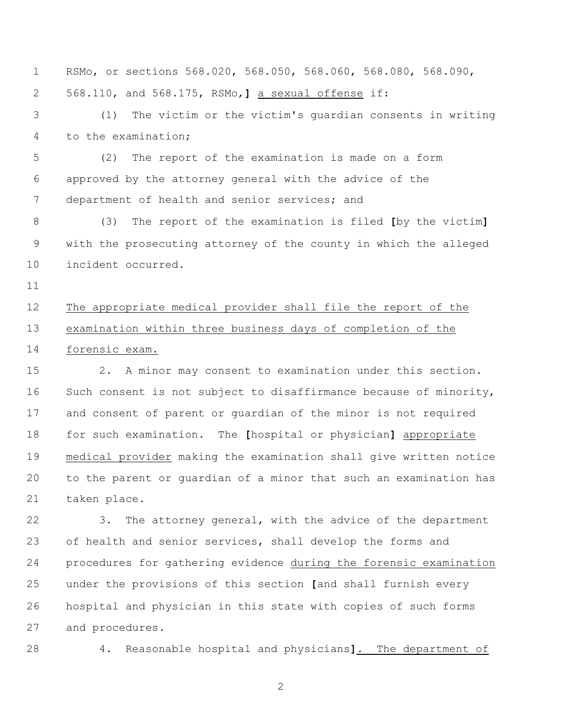RSMo, or sections 568.020, 568.050, 568.060, 568.080, 568.090, 568.110, and 568.175, RSMo,**]** a sexual offense if: (1) The victim or the victim's guardian consents in writing to the examination; (2) The report of the examination is made on a form approved by the attorney general with the advice of the department of health and senior services; and (3) The report of the examination is filed **[**by the victim**]** with the prosecuting attorney of the county in which the alleged incident occurred. The appropriate medical provider shall file the report of the examination within three business days of completion of the forensic exam. 2. A minor may consent to examination under this section. 16 Such consent is not subject to disaffirmance because of minority, and consent of parent or guardian of the minor is not required for such examination. The **[**hospital or physician**]** appropriate medical provider making the examination shall give written notice to the parent or guardian of a minor that such an examination has taken place. 3. The attorney general, with the advice of the department 23 of health and senior services, shall develop the forms and procedures for gathering evidence during the forensic examination under the provisions of this section **[**and shall furnish every hospital and physician in this state with copies of such forms

and procedures.

4. Reasonable hospital and physicians**]**. The department of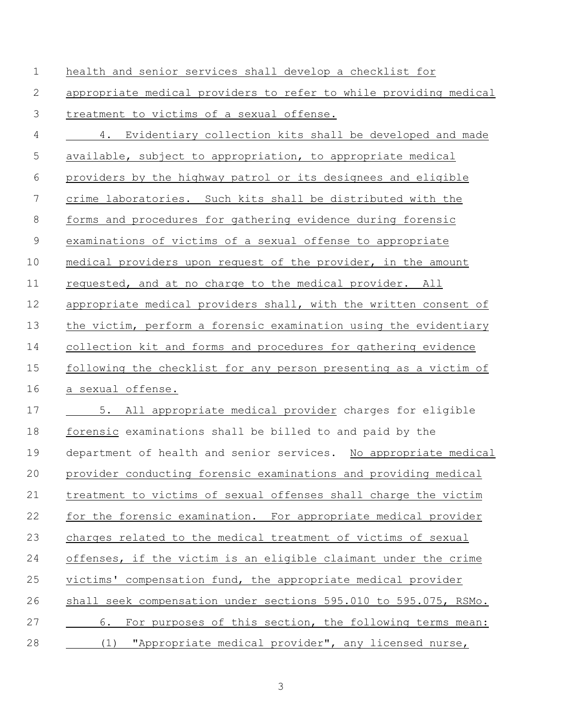| $\mathbf 1$    | health and senior services shall develop a checklist for          |
|----------------|-------------------------------------------------------------------|
| 2              | appropriate medical providers to refer to while providing medical |
| 3              | treatment to victims of a sexual offense.                         |
| $\overline{4}$ | 4. Evidentiary collection kits shall be developed and made        |
| 5              | available, subject to appropriation, to appropriate medical       |
| 6              | providers by the highway patrol or its designees and eligible     |
| 7              | crime laboratories. Such kits shall be distributed with the       |
| $8\,$          | forms and procedures for gathering evidence during forensic       |
| $\mathcal{G}$  | examinations of victims of a sexual offense to appropriate        |
| 10             | medical providers upon request of the provider, in the amount     |
| 11             | requested, and at no charge to the medical provider. All          |
| 12             | appropriate medical providers shall, with the written consent of  |
| 13             | the victim, perform a forensic examination using the evidentiary  |
| 14             | collection kit and forms and procedures for gathering evidence    |
| 15             | following the checklist for any person presenting as a victim of  |
| 16             | a sexual offense.                                                 |
| 17             | 5. All appropriate medical provider charges for eligible          |
| 18             | forensic examinations shall be billed to and paid by the          |
| 19             | department of health and senior services. No appropriate medical  |
| 20             | provider conducting forensic examinations and providing medical   |
| 21             | treatment to victims of sexual offenses shall charge the victim   |
| 22             | for the forensic examination. For appropriate medical provider    |
| 23             | charges related to the medical treatment of victims of sexual     |
| 24             | offenses, if the victim is an eligible claimant under the crime   |
| 25             | victims' compensation fund, the appropriate medical provider      |
| 26             | shall seek compensation under sections 595.010 to 595.075, RSMo.  |
| 27             | For purposes of this section, the following terms mean:<br>6.     |
| 28             | "Appropriate medical provider", any licensed nurse,<br>(1)        |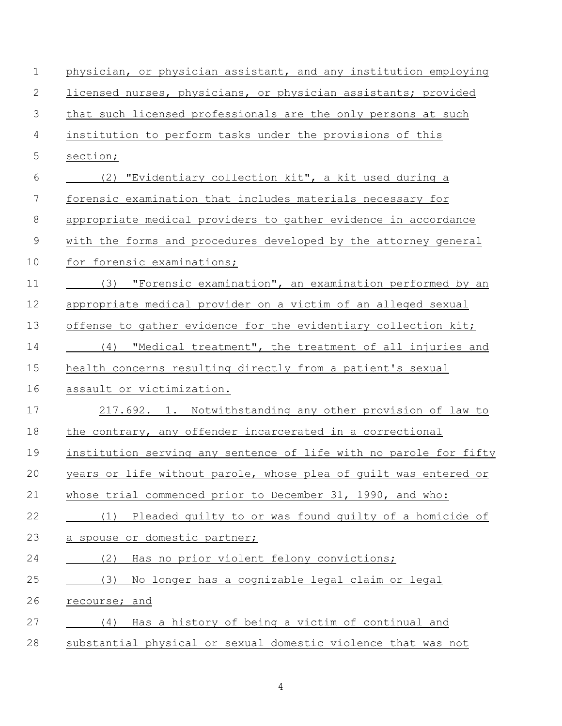| $\mathbf 1$    | physician, or physician assistant, and any institution employing  |
|----------------|-------------------------------------------------------------------|
| $\mathbf{2}$   | licensed nurses, physicians, or physician assistants; provided    |
| $\mathfrak{Z}$ | that such licensed professionals are the only persons at such     |
| $\overline{4}$ | institution to perform tasks under the provisions of this         |
| 5              | section;                                                          |
| 6              | (2) "Evidentiary collection kit", a kit used during a             |
| 7              | forensic examination that includes materials necessary for        |
| 8              | appropriate medical providers to gather evidence in accordance    |
| $\mathcal{G}$  | with the forms and procedures developed by the attorney general   |
| 10             | for forensic examinations;                                        |
| 11             | "Forensic examination", an examination performed by an<br>(3)     |
| 12             | appropriate medical provider on a victim of an alleged sexual     |
| 13             | offense to gather evidence for the evidentiary collection kit;    |
| 14             | (4) "Medical treatment", the treatment of all injuries and        |
| 15             | health concerns resulting directly from a patient's sexual        |
| 16             | assault or victimization.                                         |
| 17             | 217.692. 1. Notwithstanding any other provision of law to         |
| 18             | the contrary, any offender incarcerated in a correctional         |
| 19             | institution serving any sentence of life with no parole for fifty |
| 20             | years or life without parole, whose plea of quilt was entered or  |
| 21             | whose trial commenced prior to December 31, 1990, and who:        |
| 22             | (1) Pleaded guilty to or was found guilty of a homicide of        |
| 23             | a spouse or domestic partner;                                     |
| 24             | (2)<br>Has no prior violent felony convictions;                   |
| 25             | No longer has a cognizable legal claim or legal<br>(3)            |
| 26             | recourse; and                                                     |
| 27             | Has a history of being a victim of continual and<br>(4)           |
| 28             | substantial physical or sexual domestic violence that was not     |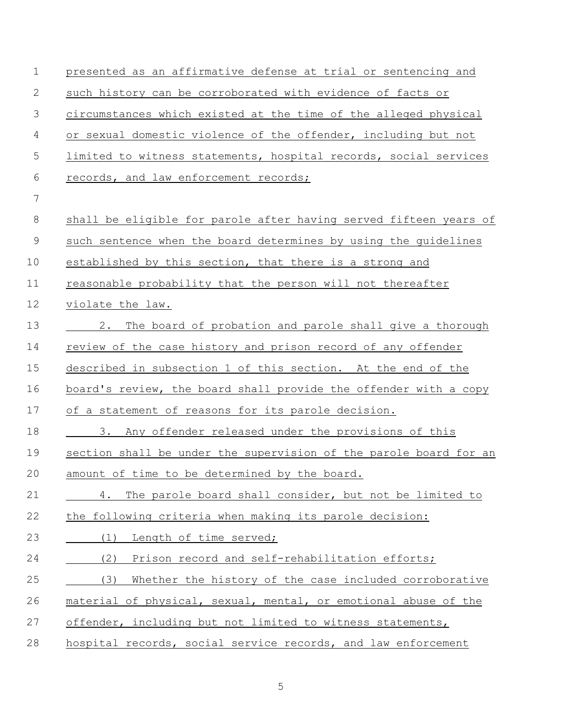| $\mathbf 1$    | presented as an affirmative defense at trial or sentencing and    |
|----------------|-------------------------------------------------------------------|
| 2              | such history can be corroborated with evidence of facts or        |
| $\mathfrak{Z}$ | circumstances which existed at the time of the alleged physical   |
| 4              | or sexual domestic violence of the offender, including but not    |
| 5              | limited to witness statements, hospital records, social services  |
| 6              | records, and law enforcement records;                             |
| 7              |                                                                   |
| 8              | shall be eligible for parole after having served fifteen years of |
| $\mathcal{G}$  | such sentence when the board determines by using the guidelines   |
| 10             | established by this section, that there is a strong and           |
| 11             | reasonable probability that the person will not thereafter        |
| 12             | violate the law.                                                  |
| 13             | 2. The board of probation and parole shall give a thorough        |
| 14             | review of the case history and prison record of any offender      |
| 15             | described in subsection 1 of this section. At the end of the      |
| 16             | board's review, the board shall provide the offender with a copy  |
| 17             | of a statement of reasons for its parole decision.                |
| 18             | 3. Any offender released under the provisions of this             |
| 19             | section shall be under the supervision of the parole board for an |
| 20             | amount of time to be determined by the board.                     |
| 21             | The parole board shall consider, but not be limited to<br>4.      |
| 22             | the following criteria when making its parole decision:           |
| 23             | Length of time served;<br>(1)                                     |
| 24             | (2)<br>Prison record and self-rehabilitation efforts;             |
| 25             | (3)<br>Whether the history of the case included corroborative     |
| 26             | material of physical, sexual, mental, or emotional abuse of the   |
| 27             | offender, including but not limited to witness statements,        |
| 28             | hospital records, social service records, and law enforcement     |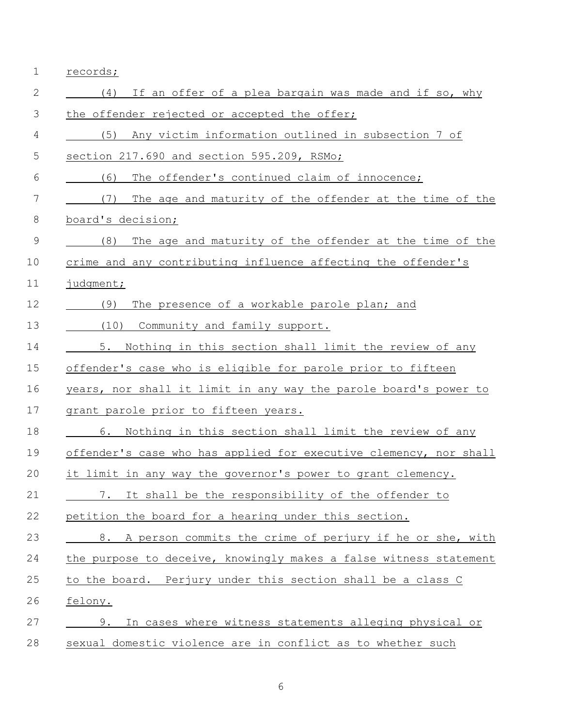| $\mathbf 1$   | records;                                                          |
|---------------|-------------------------------------------------------------------|
| 2             | If an offer of a plea bargain was made and if so, why<br>(4)      |
| 3             | the offender rejected or accepted the offer;                      |
| 4             | (5)<br>Any victim information outlined in subsection 7 of         |
| 5             | section 217.690 and section 595.209, RSMo;                        |
| 6             | (6)<br>The offender's continued claim of innocence;               |
| 7             | (7)<br>The age and maturity of the offender at the time of the    |
| 8             | board's decision;                                                 |
| $\mathcal{G}$ | (8)<br>The age and maturity of the offender at the time of the    |
| 10            | crime and any contributing influence affecting the offender's     |
| 11            | judgment;                                                         |
| 12            | (9)<br>The presence of a workable parole plan; and                |
| 13            | (10) Community and family support.                                |
| 14            | 5.<br>Nothing in this section shall limit the review of any       |
| 15            | offender's case who is eligible for parole prior to fifteen       |
| 16            | years, nor shall it limit in any way the parole board's power to  |
| 17            | grant parole prior to fifteen years.                              |
| 18            | 6. Nothing in this section shall limit the review of any          |
| 19            | offender's case who has applied for executive clemency, nor shall |
| 20            | it limit in any way the governor's power to grant clemency.       |
| 21            | 7. It shall be the responsibility of the offender to              |
| 22            | petition the board for a hearing under this section.              |
| 23            | 8. A person commits the crime of perjury if he or she, with       |
| 24            | the purpose to deceive, knowingly makes a false witness statement |
| 25            | to the board. Perjury under this section shall be a class C       |
| 26            | felony.                                                           |
| 27            | 9.<br>In cases where witness statements alleging physical or      |
| 28            | sexual domestic violence are in conflict as to whether such       |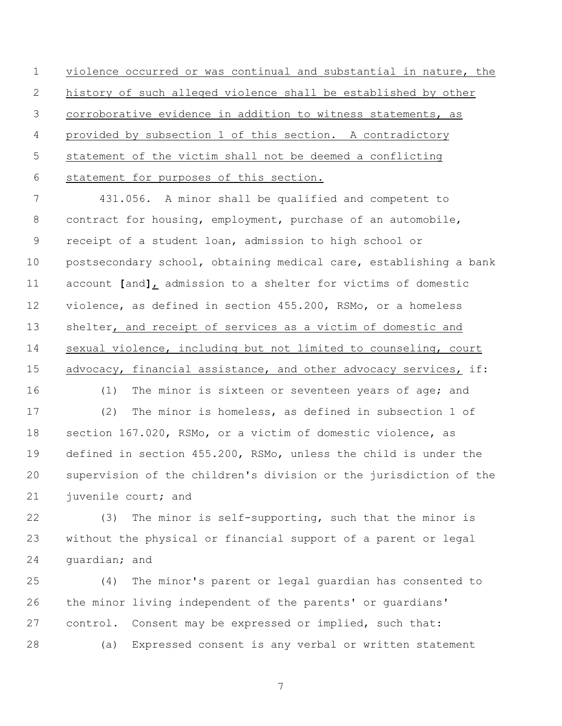violence occurred or was continual and substantial in nature, the history of such alleged violence shall be established by other corroborative evidence in addition to witness statements, as provided by subsection 1 of this section. A contradictory statement of the victim shall not be deemed a conflicting statement for purposes of this section.

 431.056. A minor shall be qualified and competent to 8 contract for housing, employment, purchase of an automobile, receipt of a student loan, admission to high school or postsecondary school, obtaining medical care, establishing a bank account **[**and**]**, admission to a shelter for victims of domestic violence, as defined in section 455.200, RSMo, or a homeless 13 shelter, and receipt of services as a victim of domestic and sexual violence, including but not limited to counseling, court 15 advocacy, financial assistance, and other advocacy services, if:

 (1) The minor is sixteen or seventeen years of age; and (2) The minor is homeless, as defined in subsection 1 of section 167.020, RSMo, or a victim of domestic violence, as defined in section 455.200, RSMo, unless the child is under the supervision of the children's division or the jurisdiction of the juvenile court; and

 (3) The minor is self-supporting, such that the minor is without the physical or financial support of a parent or legal guardian; and

 (4) The minor's parent or legal guardian has consented to the minor living independent of the parents' or guardians' control. Consent may be expressed or implied, such that: (a) Expressed consent is any verbal or written statement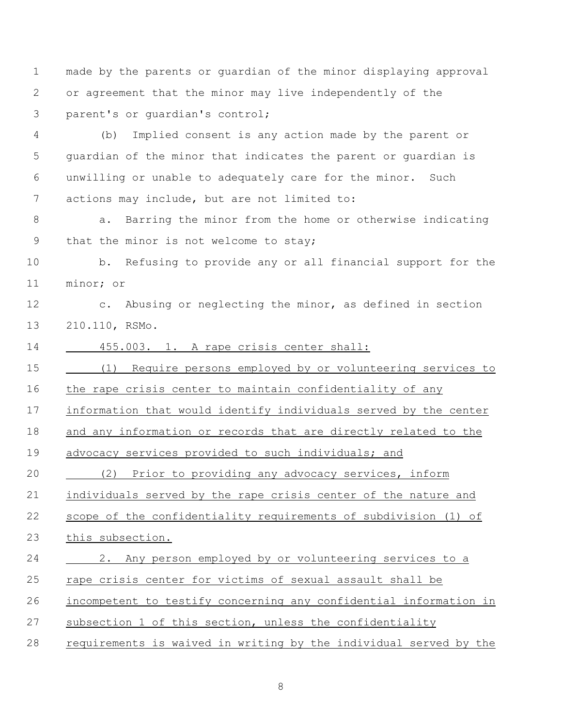made by the parents or guardian of the minor displaying approval or agreement that the minor may live independently of the parent's or guardian's control;

 (b) Implied consent is any action made by the parent or guardian of the minor that indicates the parent or guardian is unwilling or unable to adequately care for the minor. Such actions may include, but are not limited to:

8 a. Barring the minor from the home or otherwise indicating 9 that the minor is not welcome to stay;

 b. Refusing to provide any or all financial support for the minor; or

 c. Abusing or neglecting the minor, as defined in section 210.110, RSMo.

455.003. 1. A rape crisis center shall:

(1) Require persons employed by or volunteering services to

the rape crisis center to maintain confidentiality of any

information that would identify individuals served by the center

and any information or records that are directly related to the

advocacy services provided to such individuals; and

20 (2) Prior to providing any advocacy services, inform

individuals served by the rape crisis center of the nature and

scope of the confidentiality requirements of subdivision (1) of

this subsection.

2. Any person employed by or volunteering services to a

rape crisis center for victims of sexual assault shall be

incompetent to testify concerning any confidential information in

- subsection 1 of this section, unless the confidentiality
- requirements is waived in writing by the individual served by the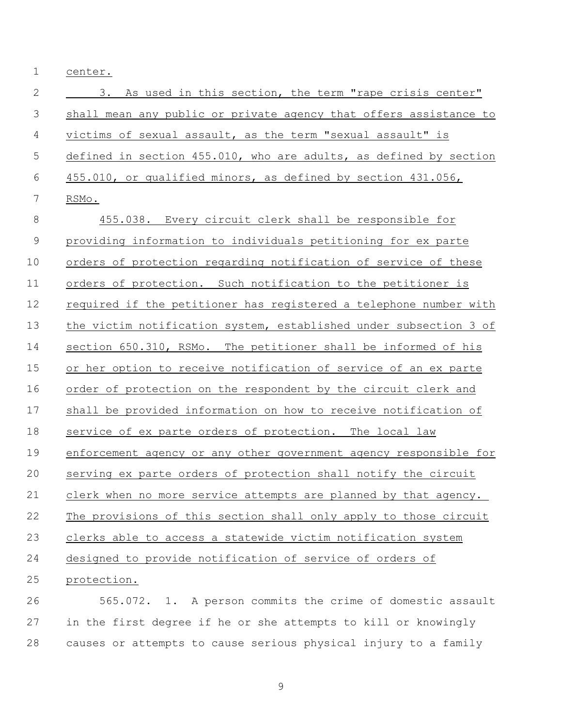center.

| $\mathbf{2}$   | As used in this section, the term "rape crisis center"<br>3.      |
|----------------|-------------------------------------------------------------------|
| 3              | shall mean any public or private agency that offers assistance to |
| $\overline{4}$ | victims of sexual assault, as the term "sexual assault" is        |
| 5              | defined in section 455.010, who are adults, as defined by section |
| 6              | 455.010, or qualified minors, as defined by section 431.056,      |
| 7              | RSMo.                                                             |
| $\,8\,$        | 455.038. Every circuit clerk shall be responsible for             |
| $\mathsf 9$    | providing information to individuals petitioning for ex parte     |
| 10             | orders of protection regarding notification of service of these   |
| 11             | orders of protection. Such notification to the petitioner is      |
| 12             | required if the petitioner has registered a telephone number with |
| 13             | the victim notification system, established under subsection 3 of |
| 14             | section 650.310, RSMo. The petitioner shall be informed of his    |
| 15             | or her option to receive notification of service of an ex parte   |
| 16             | order of protection on the respondent by the circuit clerk and    |
| 17             | shall be provided information on how to receive notification of   |
| 18             | service of ex parte orders of protection. The local law           |
| 19             | enforcement agency or any other government agency responsible for |
| 20             | serving ex parte orders of protection shall notify the circuit    |
| 21             | clerk when no more service attempts are planned by that agency.   |
| 22             | The provisions of this section shall only apply to those circuit  |
| 23             | clerks able to access a statewide victim notification system      |
| 24             | designed to provide notification of service of orders of          |
| 25             | protection.                                                       |
|                |                                                                   |

 565.072. 1. A person commits the crime of domestic assault in the first degree if he or she attempts to kill or knowingly causes or attempts to cause serious physical injury to a family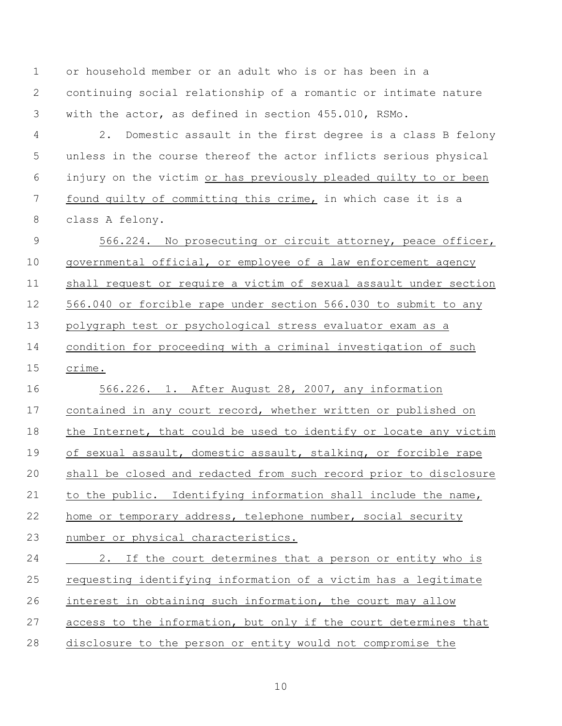or household member or an adult who is or has been in a continuing social relationship of a romantic or intimate nature with the actor, as defined in section 455.010, RSMo.

 2. Domestic assault in the first degree is a class B felony unless in the course thereof the actor inflicts serious physical injury on the victim or has previously pleaded guilty to or been found guilty of committing this crime, in which case it is a class A felony.

 566.224. No prosecuting or circuit attorney, peace officer, governmental official, or employee of a law enforcement agency shall request or require a victim of sexual assault under section 566.040 or forcible rape under section 566.030 to submit to any polygraph test or psychological stress evaluator exam as a condition for proceeding with a criminal investigation of such crime.

 566.226. 1. After August 28, 2007, any information contained in any court record, whether written or published on 18 the Internet, that could be used to identify or locate any victim of sexual assault, domestic assault, stalking, or forcible rape shall be closed and redacted from such record prior to disclosure to the public. Identifying information shall include the name, home or temporary address, telephone number, social security number or physical characteristics. 2. If the court determines that a person or entity who is requesting identifying information of a victim has a legitimate

interest in obtaining such information, the court may allow

access to the information, but only if the court determines that

disclosure to the person or entity would not compromise the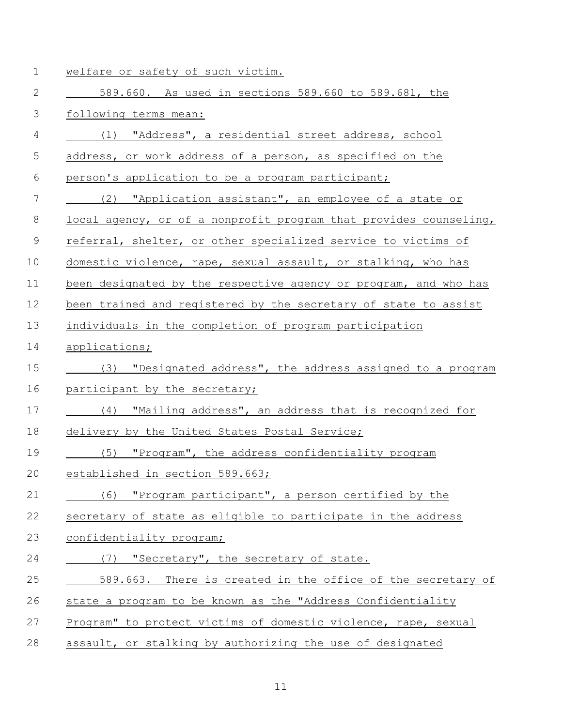| $\mathbf 1$  | welfare or safety of such victim.                                 |
|--------------|-------------------------------------------------------------------|
| $\mathbf{2}$ | 589.660. As used in sections 589.660 to 589.681, the              |
| 3            | following terms mean:                                             |
| 4            | (1) "Address", a residential street address, school               |
| 5            | address, or work address of a person, as specified on the         |
| 6            | person's application to be a program participant;                 |
| 7            | (2) "Application assistant", an employee of a state or            |
| 8            | local agency, or of a nonprofit program that provides counseling, |
| 9            | referral, shelter, or other specialized service to victims of     |
| 10           | domestic violence, rape, sexual assault, or stalking, who has     |
| 11           | been designated by the respective agency or program, and who has  |
| 12           | been trained and registered by the secretary of state to assist   |
| 13           | individuals in the completion of program participation            |
| 14           | applications;                                                     |
| 15           | "Designated address", the address assigned to a program<br>(3)    |
| 16           | participant by the secretary;                                     |
| 17           | (4) "Mailing address", an address that is recognized for          |
| 18           | delivery by the United States Postal Service;                     |
| 19           | (5) "Program", the address confidentiality program                |
| 20           | established in section 589.663;                                   |
| 21           | (6) "Program participant", a person certified by the              |
| 22           | secretary of state as eligible to participate in the address      |
| 23           | confidentiality program;                                          |
| 24           | (7) "Secretary", the secretary of state.                          |
| 25           | 589.663. There is created in the office of the secretary of       |
| 26           | state a program to be known as the "Address Confidentiality       |
| 27           | Program" to protect victims of domestic violence, rape, sexual    |
| 28           | assault, or stalking by authorizing the use of designated         |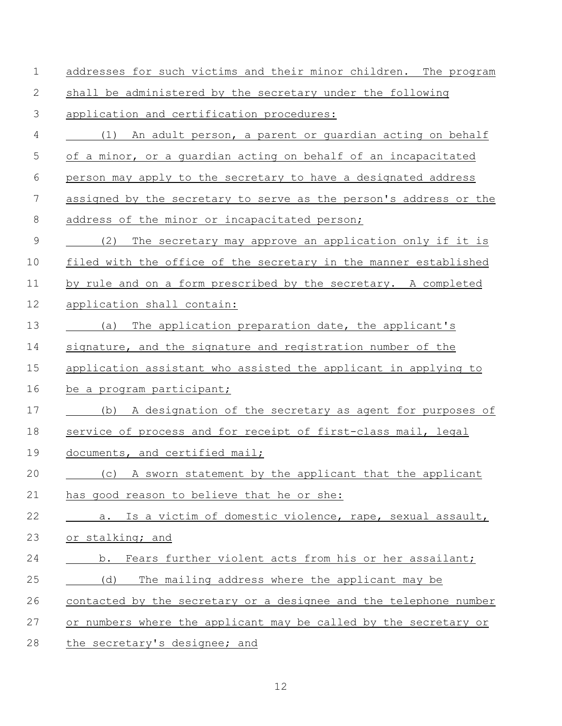| $\mathbf 1$    | addresses for such victims and their minor children. The program  |
|----------------|-------------------------------------------------------------------|
| 2              | shall be administered by the secretary under the following        |
| 3              | application and certification procedures:                         |
| $\overline{4}$ | (1) An adult person, a parent or guardian acting on behalf        |
| 5              | of a minor, or a guardian acting on behalf of an incapacitated    |
| 6              | person may apply to the secretary to have a designated address    |
| 7              | assigned by the secretary to serve as the person's address or the |
| 8              | address of the minor or incapacitated person;                     |
| 9              | (2)<br>The secretary may approve an application only if it is     |
| 10             | filed with the office of the secretary in the manner established  |
| 11             | by rule and on a form prescribed by the secretary. A completed    |
| 12             | application shall contain:                                        |
| 13             | The application preparation date, the applicant's<br>(a)          |
| 14             | signature, and the signature and registration number of the       |
| 15             | application assistant who assisted the applicant in applying to   |
| 16             | be a program participant;                                         |
| 17             | A designation of the secretary as agent for purposes of<br>(b)    |
| 18             | service of process and for receipt of first-class mail, legal     |
| 19             | documents, and certified mail;                                    |
| 20             | (c) A sworn statement by the applicant that the applicant         |
| 21             | has good reason to believe that he or she:                        |
| 22             | a. Is a victim of domestic violence, rape, sexual assault,        |
| 23             | or stalking; and                                                  |
| 24             | b. Fears further violent acts from his or her assailant;          |
| 25             | (d)<br>The mailing address where the applicant may be             |
| 26             | contacted by the secretary or a designee and the telephone number |
| 27             | or numbers where the applicant may be called by the secretary or  |
| 28             | the secretary's designee; and                                     |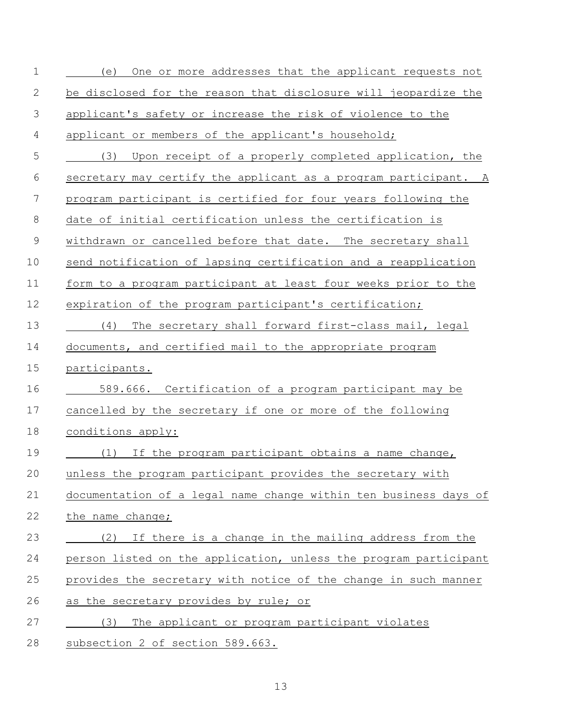| $\mathbf 1$    | One or more addresses that the applicant requests not<br>(e)     |
|----------------|------------------------------------------------------------------|
| 2              | be disclosed for the reason that disclosure will jeopardize the  |
| 3              | applicant's safety or increase the risk of violence to the       |
| $\overline{4}$ | applicant or members of the applicant's household;               |
| 5              | (3)<br>Upon receipt of a properly completed application, the     |
| 6              | secretary may certify the applicant as a program participant. A  |
| 7              | program participant is certified for four years following the    |
| $8\,$          | date of initial certification unless the certification is        |
| $\mathsf 9$    | withdrawn or cancelled before that date. The secretary shall     |
| 10             | send notification of lapsing certification and a reapplication   |
| 11             | form to a program participant at least four weeks prior to the   |
| 12             | expiration of the program participant's certification;           |
| 13             | (4) The secretary shall forward first-class mail, legal          |
| 14             | documents, and certified mail to the appropriate program         |
| 15             | participants.                                                    |
| 16             | 589.666. Certification of a program participant may be           |
| 17             | cancelled by the secretary if one or more of the following       |
| 18             | conditions apply:                                                |
| 19             | (1) If the program participant obtains a name change,            |
| 20             | unless the program participant provides the secretary with       |
| 21             | documentation of a legal name change within ten business days of |
| 22             | the name change;                                                 |
| 23             | (2) If there is a change in the mailing address from the         |
| 24             | person listed on the application, unless the program participant |
| 25             | provides the secretary with notice of the change in such manner  |
| 26             | as the secretary provides by rule; or                            |
| 27             | The applicant or program participant violates<br>(3)             |
| 28             | subsection 2 of section 589.663.                                 |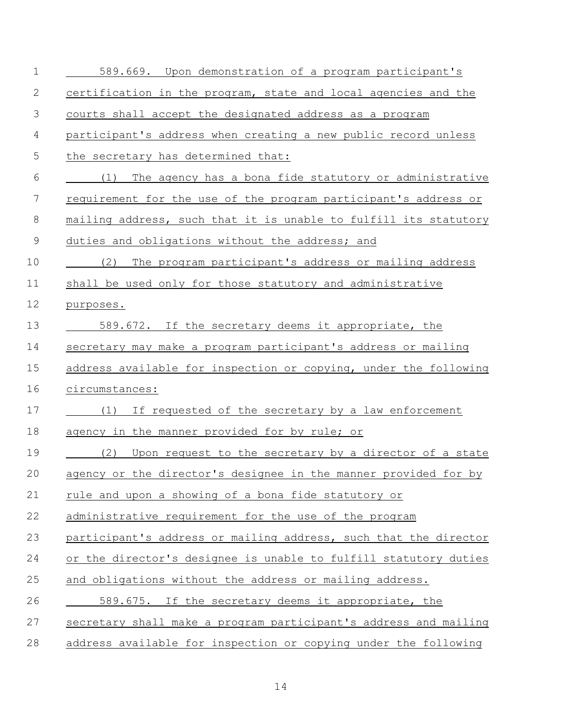| 1              | 589.669. Upon demonstration of a program participant's                             |
|----------------|------------------------------------------------------------------------------------|
| 2              | certification in the program, state and local agencies and the                     |
| 3              | courts shall accept the designated address as a program                            |
| $\overline{4}$ | participant's address when creating a new public record unless                     |
| 5              | the secretary has determined that:                                                 |
| 6              | $\frac{1}{\sqrt{1}}$ (1)<br>The agency has a bona fide statutory or administrative |
| 7              | requirement for the use of the program participant's address or                    |
| $8\,$          | mailing address, such that it is unable to fulfill its statutory                   |
| 9              | duties and obligations without the address; and                                    |
| 10             | The program participant's address or mailing address<br>(2)                        |
| 11             | shall be used only for those statutory and administrative                          |
| 12             | purposes.                                                                          |
| 13             | 589.672. If the secretary deems it appropriate, the                                |
| 14             | secretary may make a program participant's address or mailing                      |
| 15             | address available for inspection or copying, under the following                   |
| 16             | circumstances:                                                                     |
| 17             | If requested of the secretary by a law enforcement<br>(1)                          |
| 18             | agency in the manner provided for by rule; or                                      |
| 19             | (2)<br>Upon request to the secretary by a director of a state                      |
| 20             | agency or the director's designee in the manner provided for by                    |
| 21             | rule and upon a showing of a bona fide statutory or                                |
| 22             | administrative requirement for the use of the program                              |
| 23             | participant's address or mailing address, such that the director                   |
| 24             | or the director's designee is unable to fulfill statutory duties                   |
| 25             | and obligations without the address or mailing address.                            |
| 26             | 589.675. If the secretary deems it appropriate, the                                |
| 27             | secretary shall make a program participant's address and mailing                   |
| 28             | address available for inspection or copying under the following                    |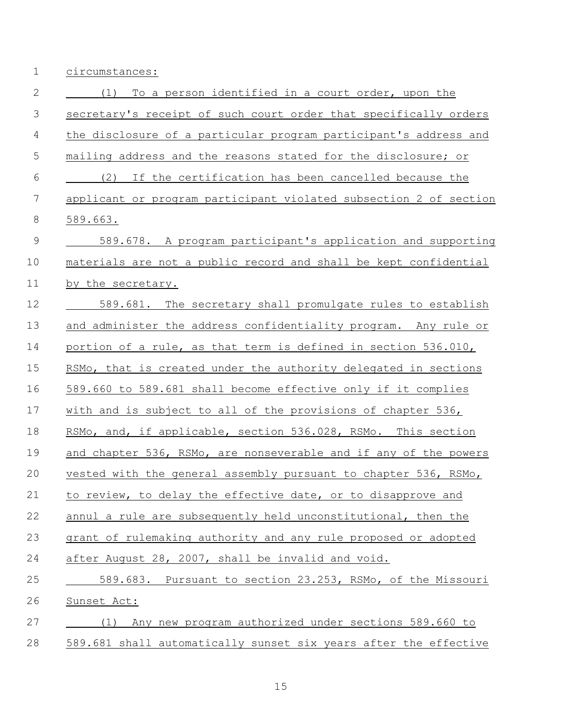circumstances:

| $\mathbf{2}$   | To a person identified in a court order, upon the<br>(1)          |
|----------------|-------------------------------------------------------------------|
| $\mathfrak{Z}$ | secretary's receipt of such court order that specifically orders  |
| 4              | the disclosure of a particular program participant's address and  |
| 5              | mailing address and the reasons stated for the disclosure; or     |
| $6\,$          | (2)<br>If the certification has been cancelled because the        |
| $\overline{7}$ | applicant or program participant violated subsection 2 of section |
| $8\,$          | $589.663$ .                                                       |
| $\mathsf 9$    | 589.678. A program participant's application and supporting       |
| 10             | materials are not a public record and shall be kept confidential  |
| 11             | by the secretary.                                                 |
| 12             | 589.681. The secretary shall promulgate rules to establish        |
| 13             | and administer the address confidentiality program. Any rule or   |
| 14             | portion of a rule, as that term is defined in section 536.010,    |
| 15             | RSMo, that is created under the authority delegated in sections   |
| 16             | 589.660 to 589.681 shall become effective only if it complies     |
| 17             | with and is subject to all of the provisions of chapter 536,      |
| 18             | RSMo, and, if applicable, section 536.028, RSMo. This section     |
| 19             | and chapter 536, RSMo, are nonseverable and if any of the powers  |
| 20             | vested with the general assembly pursuant to chapter 536, RSMo,   |
| 21             | to review, to delay the effective date, or to disapprove and      |
| 22             | annul a rule are subsequently held unconstitutional, then the     |
| 23             | grant of rulemaking authority and any rule proposed or adopted    |
| 24             | after August 28, 2007, shall be invalid and void.                 |
| 25             | 589.683. Pursuant to section 23.253, RSMo, of the Missouri        |
| 26             | Sunset Act:                                                       |
| 27             | Any new program authorized under sections 589.660 to<br>(1)       |
| 28             | 589.681 shall automatically sunset six years after the effective  |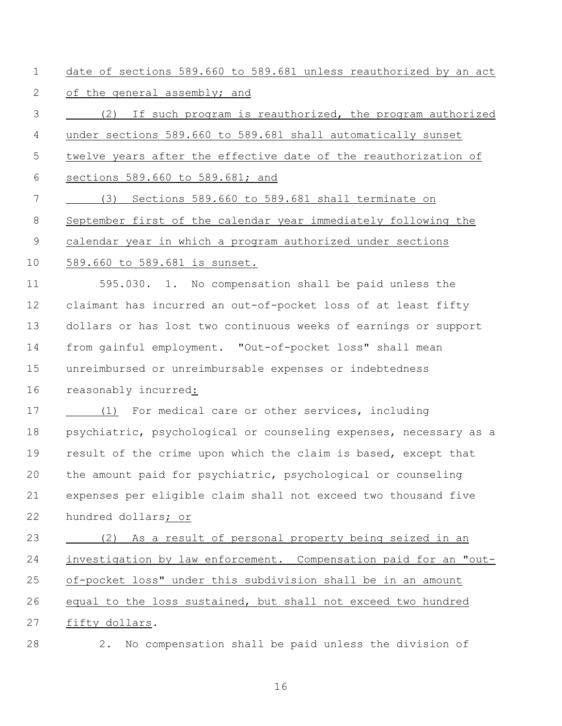date of sections 589.660 to 589.681 unless reauthorized by an act 2 of the general assembly; and

 (2) If such program is reauthorized, the program authorized under sections 589.660 to 589.681 shall automatically sunset twelve years after the effective date of the reauthorization of sections 589.660 to 589.681; and (3) Sections 589.660 to 589.681 shall terminate on September first of the calendar year immediately following the

calendar year in which a program authorized under sections

589.660 to 589.681 is sunset.

 595.030. 1. No compensation shall be paid unless the claimant has incurred an out-of-pocket loss of at least fifty dollars or has lost two continuous weeks of earnings or support from gainful employment. "Out-of-pocket loss" shall mean unreimbursed or unreimbursable expenses or indebtedness reasonably incurred:

 (1) For medical care or other services, including psychiatric, psychological or counseling expenses, necessary as a result of the crime upon which the claim is based, except that the amount paid for psychiatric, psychological or counseling expenses per eligible claim shall not exceed two thousand five hundred dollars; or

 (2) As a result of personal property being seized in an investigation by law enforcement. Compensation paid for an "out- of-pocket loss" under this subdivision shall be in an amount equal to the loss sustained, but shall not exceed two hundred fifty dollars.

2. No compensation shall be paid unless the division of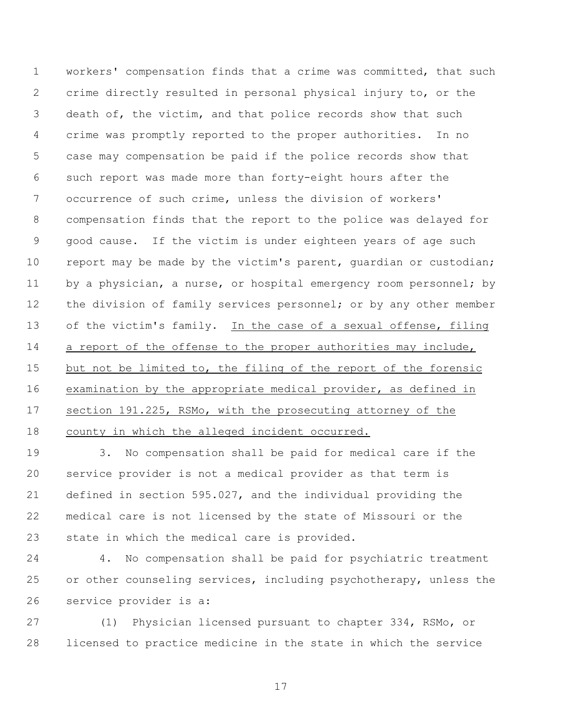workers' compensation finds that a crime was committed, that such crime directly resulted in personal physical injury to, or the death of, the victim, and that police records show that such crime was promptly reported to the proper authorities. In no case may compensation be paid if the police records show that such report was made more than forty-eight hours after the occurrence of such crime, unless the division of workers' compensation finds that the report to the police was delayed for good cause. If the victim is under eighteen years of age such report may be made by the victim's parent, guardian or custodian; 11 by a physician, a nurse, or hospital emergency room personnel; by 12 the division of family services personnel; or by any other member of the victim's family. In the case of a sexual offense, filing 14 a report of the offense to the proper authorities may include, 15 but not be limited to, the filing of the report of the forensic examination by the appropriate medical provider, as defined in section 191.225, RSMo, with the prosecuting attorney of the county in which the alleged incident occurred.

 3. No compensation shall be paid for medical care if the service provider is not a medical provider as that term is defined in section 595.027, and the individual providing the medical care is not licensed by the state of Missouri or the state in which the medical care is provided.

 4. No compensation shall be paid for psychiatric treatment 25 or other counseling services, including psychotherapy, unless the service provider is a:

 (1) Physician licensed pursuant to chapter 334, RSMo, or licensed to practice medicine in the state in which the service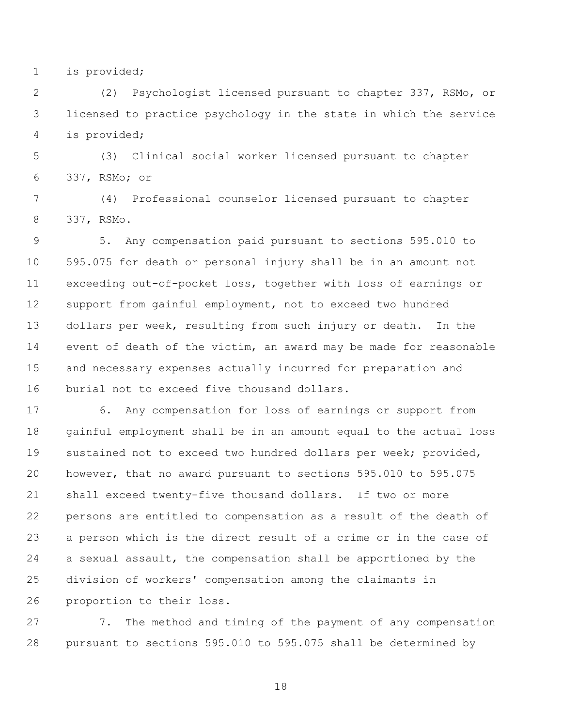is provided;

 (2) Psychologist licensed pursuant to chapter 337, RSMo, or licensed to practice psychology in the state in which the service is provided;

 (3) Clinical social worker licensed pursuant to chapter 337, RSMo; or

 (4) Professional counselor licensed pursuant to chapter 337, RSMo.

 5. Any compensation paid pursuant to sections 595.010 to 595.075 for death or personal injury shall be in an amount not exceeding out-of-pocket loss, together with loss of earnings or support from gainful employment, not to exceed two hundred dollars per week, resulting from such injury or death. In the event of death of the victim, an award may be made for reasonable and necessary expenses actually incurred for preparation and burial not to exceed five thousand dollars.

 6. Any compensation for loss of earnings or support from gainful employment shall be in an amount equal to the actual loss sustained not to exceed two hundred dollars per week; provided, however, that no award pursuant to sections 595.010 to 595.075 shall exceed twenty-five thousand dollars. If two or more persons are entitled to compensation as a result of the death of a person which is the direct result of a crime or in the case of a sexual assault, the compensation shall be apportioned by the division of workers' compensation among the claimants in proportion to their loss.

 7. The method and timing of the payment of any compensation pursuant to sections 595.010 to 595.075 shall be determined by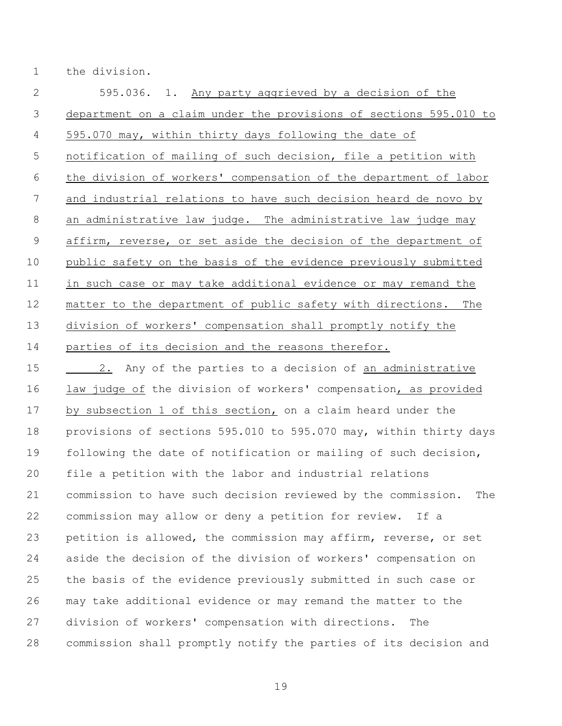the division.

 595.036. 1. Any party aggrieved by a decision of the department on a claim under the provisions of sections 595.010 to 595.070 may, within thirty days following the date of notification of mailing of such decision, file a petition with the division of workers' compensation of the department of labor and industrial relations to have such decision heard de novo by an administrative law judge. The administrative law judge may affirm, reverse, or set aside the decision of the department of public safety on the basis of the evidence previously submitted in such case or may take additional evidence or may remand the matter to the department of public safety with directions. The division of workers' compensation shall promptly notify the parties of its decision and the reasons therefor.

 2. Any of the parties to a decision of an administrative 16 law judge of the division of workers' compensation, as provided by subsection 1 of this section, on a claim heard under the provisions of sections 595.010 to 595.070 may, within thirty days following the date of notification or mailing of such decision, file a petition with the labor and industrial relations commission to have such decision reviewed by the commission. The commission may allow or deny a petition for review. If a petition is allowed, the commission may affirm, reverse, or set aside the decision of the division of workers' compensation on the basis of the evidence previously submitted in such case or may take additional evidence or may remand the matter to the division of workers' compensation with directions. The commission shall promptly notify the parties of its decision and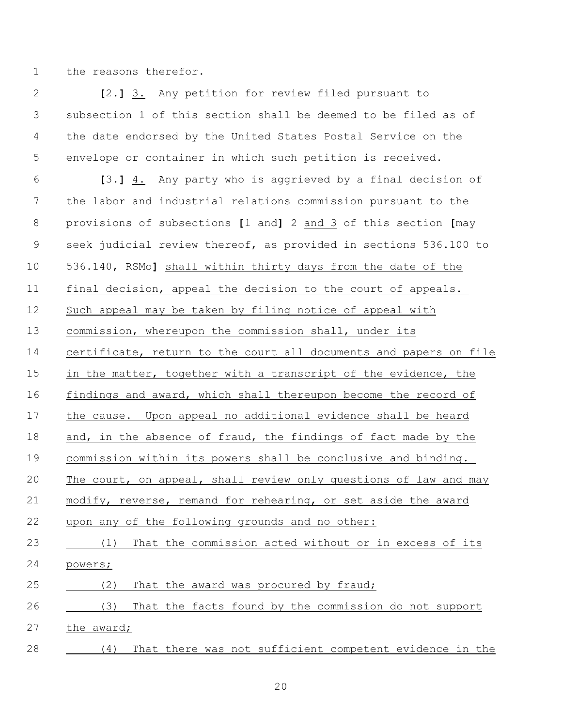the reasons therefor.

 **[**2.**]** 3. Any petition for review filed pursuant to subsection 1 of this section shall be deemed to be filed as of the date endorsed by the United States Postal Service on the envelope or container in which such petition is received.

 **[**3.**]** 4. Any party who is aggrieved by a final decision of the labor and industrial relations commission pursuant to the provisions of subsections **[**1 and**]** 2 and 3 of this section **[**may seek judicial review thereof, as provided in sections 536.100 to 536.140, RSMo**]** shall within thirty days from the date of the final decision, appeal the decision to the court of appeals. Such appeal may be taken by filing notice of appeal with commission, whereupon the commission shall, under its certificate, return to the court all documents and papers on file in the matter, together with a transcript of the evidence, the findings and award, which shall thereupon become the record of the cause. Upon appeal no additional evidence shall be heard 18 and, in the absence of fraud, the findings of fact made by the commission within its powers shall be conclusive and binding. The court, on appeal, shall review only questions of law and may modify, reverse, remand for rehearing, or set aside the award upon any of the following grounds and no other: (1) That the commission acted without or in excess of its powers; 25 (2) That the award was procured by fraud; (3) That the facts found by the commission do not support the award; (4) That there was not sufficient competent evidence in the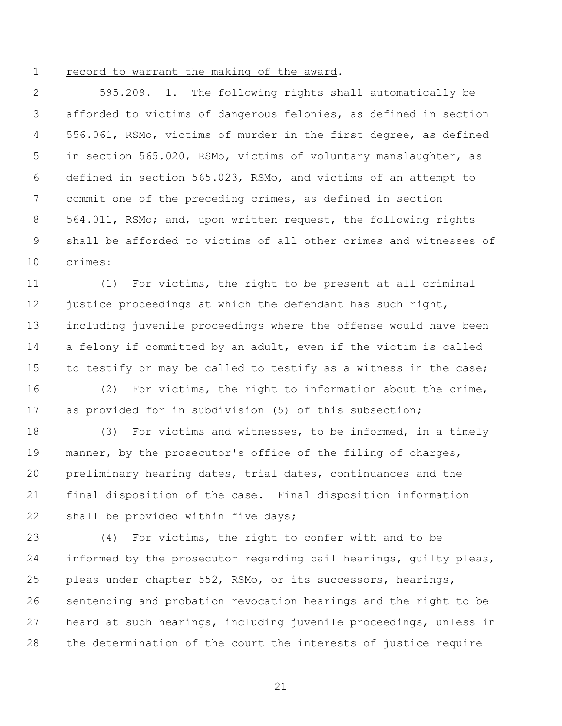record to warrant the making of the award.

 595.209. 1. The following rights shall automatically be afforded to victims of dangerous felonies, as defined in section 556.061, RSMo, victims of murder in the first degree, as defined in section 565.020, RSMo, victims of voluntary manslaughter, as defined in section 565.023, RSMo, and victims of an attempt to commit one of the preceding crimes, as defined in section 564.011, RSMo; and, upon written request, the following rights shall be afforded to victims of all other crimes and witnesses of crimes:

 (1) For victims, the right to be present at all criminal 12 justice proceedings at which the defendant has such right, including juvenile proceedings where the offense would have been a felony if committed by an adult, even if the victim is called 15 to testify or may be called to testify as a witness in the case;

 (2) For victims, the right to information about the crime, as provided for in subdivision (5) of this subsection;

 (3) For victims and witnesses, to be informed, in a timely manner, by the prosecutor's office of the filing of charges, preliminary hearing dates, trial dates, continuances and the final disposition of the case. Final disposition information 22 shall be provided within five days;

 (4) For victims, the right to confer with and to be informed by the prosecutor regarding bail hearings, guilty pleas, pleas under chapter 552, RSMo, or its successors, hearings, sentencing and probation revocation hearings and the right to be heard at such hearings, including juvenile proceedings, unless in the determination of the court the interests of justice require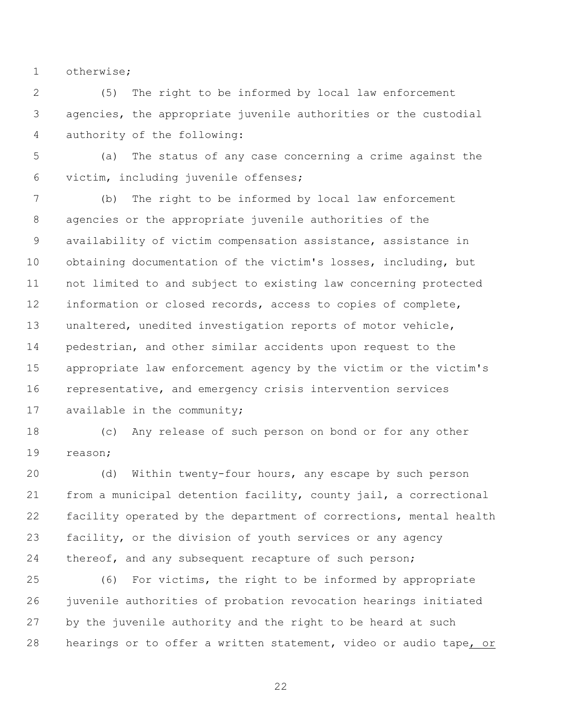otherwise;

 (5) The right to be informed by local law enforcement agencies, the appropriate juvenile authorities or the custodial authority of the following:

 (a) The status of any case concerning a crime against the victim, including juvenile offenses;

 (b) The right to be informed by local law enforcement agencies or the appropriate juvenile authorities of the availability of victim compensation assistance, assistance in obtaining documentation of the victim's losses, including, but not limited to and subject to existing law concerning protected information or closed records, access to copies of complete, unaltered, unedited investigation reports of motor vehicle, pedestrian, and other similar accidents upon request to the appropriate law enforcement agency by the victim or the victim's representative, and emergency crisis intervention services available in the community;

 (c) Any release of such person on bond or for any other reason;

 (d) Within twenty-four hours, any escape by such person from a municipal detention facility, county jail, a correctional facility operated by the department of corrections, mental health facility, or the division of youth services or any agency 24 thereof, and any subsequent recapture of such person;

 (6) For victims, the right to be informed by appropriate juvenile authorities of probation revocation hearings initiated by the juvenile authority and the right to be heard at such hearings or to offer a written statement, video or audio tape, or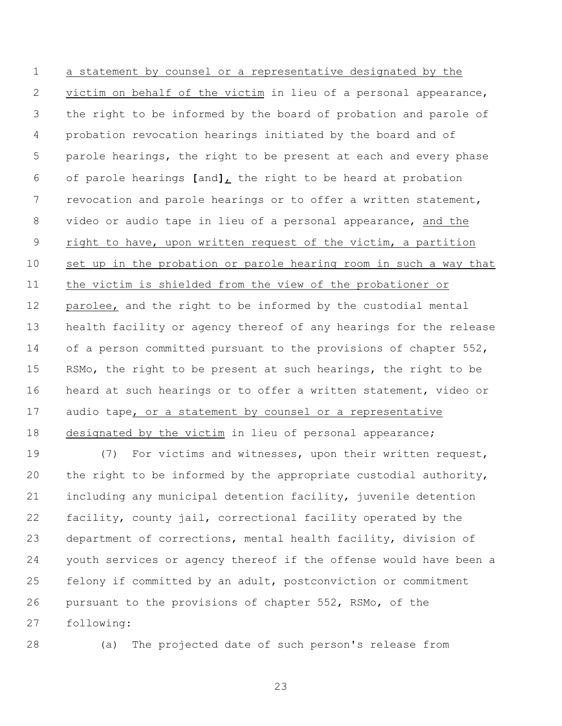a statement by counsel or a representative designated by the victim on behalf of the victim in lieu of a personal appearance, the right to be informed by the board of probation and parole of probation revocation hearings initiated by the board and of parole hearings, the right to be present at each and every phase of parole hearings **[**and**]**, the right to be heard at probation revocation and parole hearings or to offer a written statement, video or audio tape in lieu of a personal appearance, and the right to have, upon written request of the victim, a partition set up in the probation or parole hearing room in such a way that the victim is shielded from the view of the probationer or parolee, and the right to be informed by the custodial mental health facility or agency thereof of any hearings for the release of a person committed pursuant to the provisions of chapter 552, RSMo, the right to be present at such hearings, the right to be heard at such hearings or to offer a written statement, video or audio tape, or a statement by counsel or a representative designated by the victim in lieu of personal appearance;

 (7) For victims and witnesses, upon their written request, the right to be informed by the appropriate custodial authority, including any municipal detention facility, juvenile detention facility, county jail, correctional facility operated by the department of corrections, mental health facility, division of youth services or agency thereof if the offense would have been a felony if committed by an adult, postconviction or commitment pursuant to the provisions of chapter 552, RSMo, of the following:

(a) The projected date of such person's release from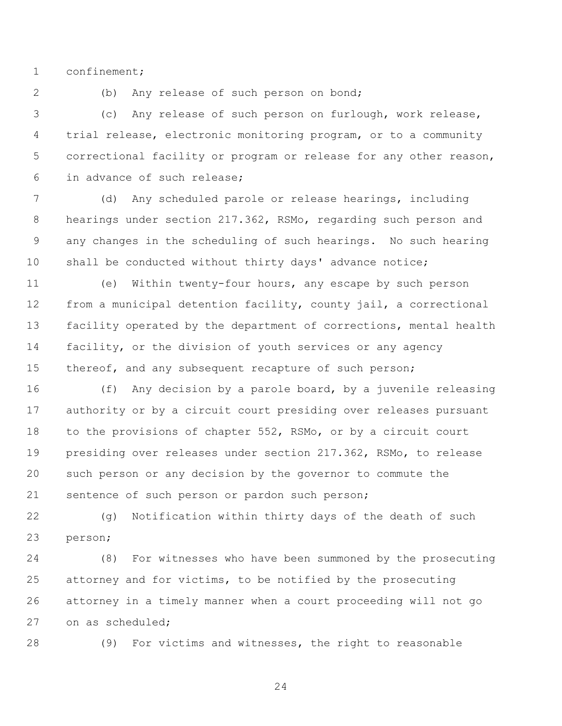confinement;

(b) Any release of such person on bond;

 (c) Any release of such person on furlough, work release, trial release, electronic monitoring program, or to a community correctional facility or program or release for any other reason, in advance of such release;

 (d) Any scheduled parole or release hearings, including hearings under section 217.362, RSMo, regarding such person and any changes in the scheduling of such hearings. No such hearing 10 shall be conducted without thirty days' advance notice;

 (e) Within twenty-four hours, any escape by such person from a municipal detention facility, county jail, a correctional facility operated by the department of corrections, mental health facility, or the division of youth services or any agency 15 thereof, and any subsequent recapture of such person;

 (f) Any decision by a parole board, by a juvenile releasing authority or by a circuit court presiding over releases pursuant to the provisions of chapter 552, RSMo, or by a circuit court presiding over releases under section 217.362, RSMo, to release such person or any decision by the governor to commute the sentence of such person or pardon such person;

 (g) Notification within thirty days of the death of such person;

 (8) For witnesses who have been summoned by the prosecuting attorney and for victims, to be notified by the prosecuting attorney in a timely manner when a court proceeding will not go on as scheduled;

(9) For victims and witnesses, the right to reasonable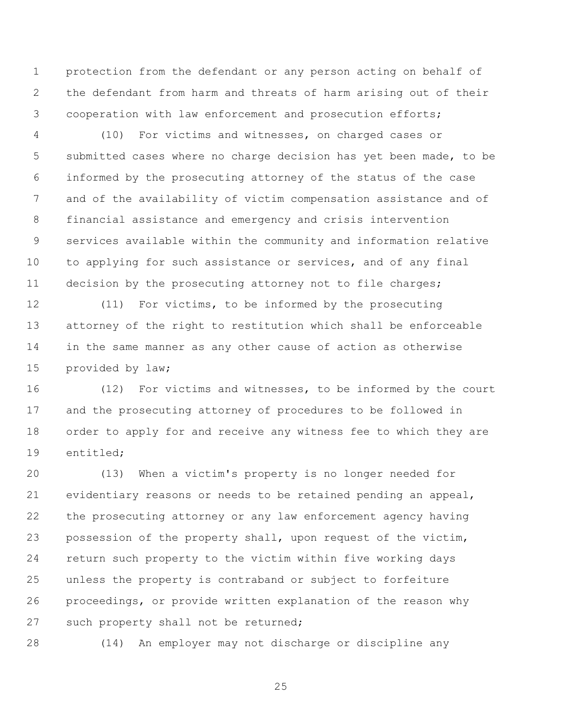protection from the defendant or any person acting on behalf of the defendant from harm and threats of harm arising out of their cooperation with law enforcement and prosecution efforts;

 (10) For victims and witnesses, on charged cases or submitted cases where no charge decision has yet been made, to be informed by the prosecuting attorney of the status of the case and of the availability of victim compensation assistance and of financial assistance and emergency and crisis intervention services available within the community and information relative to applying for such assistance or services, and of any final decision by the prosecuting attorney not to file charges;

 (11) For victims, to be informed by the prosecuting attorney of the right to restitution which shall be enforceable in the same manner as any other cause of action as otherwise provided by law;

 (12) For victims and witnesses, to be informed by the court and the prosecuting attorney of procedures to be followed in order to apply for and receive any witness fee to which they are entitled;

 (13) When a victim's property is no longer needed for evidentiary reasons or needs to be retained pending an appeal, the prosecuting attorney or any law enforcement agency having possession of the property shall, upon request of the victim, return such property to the victim within five working days unless the property is contraband or subject to forfeiture proceedings, or provide written explanation of the reason why 27 such property shall not be returned;

(14) An employer may not discharge or discipline any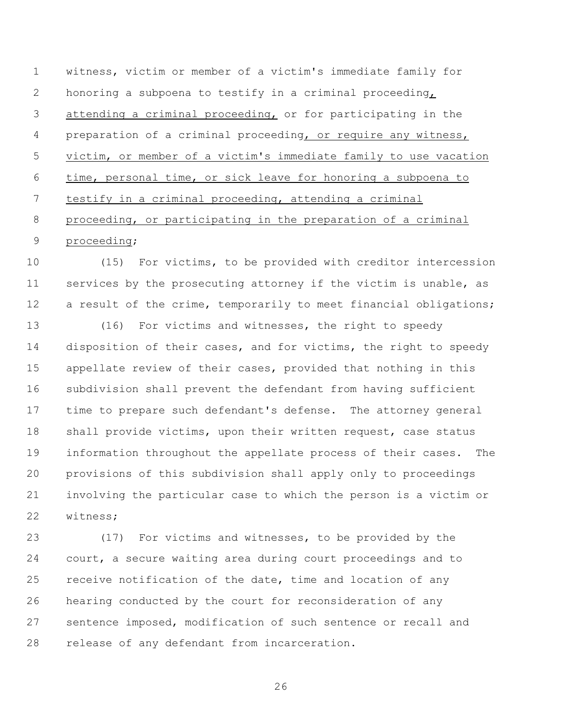witness, victim or member of a victim's immediate family for honoring a subpoena to testify in a criminal proceeding, attending a criminal proceeding, or for participating in the preparation of a criminal proceeding, or require any witness, victim, or member of a victim's immediate family to use vacation time, personal time, or sick leave for honoring a subpoena to testify in a criminal proceeding, attending a criminal proceeding, or participating in the preparation of a criminal proceeding;

 (15) For victims, to be provided with creditor intercession services by the prosecuting attorney if the victim is unable, as 12 a result of the crime, temporarily to meet financial obligations;

 (16) For victims and witnesses, the right to speedy disposition of their cases, and for victims, the right to speedy appellate review of their cases, provided that nothing in this subdivision shall prevent the defendant from having sufficient time to prepare such defendant's defense. The attorney general 18 shall provide victims, upon their written request, case status information throughout the appellate process of their cases. The provisions of this subdivision shall apply only to proceedings involving the particular case to which the person is a victim or witness;

 (17) For victims and witnesses, to be provided by the court, a secure waiting area during court proceedings and to 25 receive notification of the date, time and location of any hearing conducted by the court for reconsideration of any sentence imposed, modification of such sentence or recall and release of any defendant from incarceration.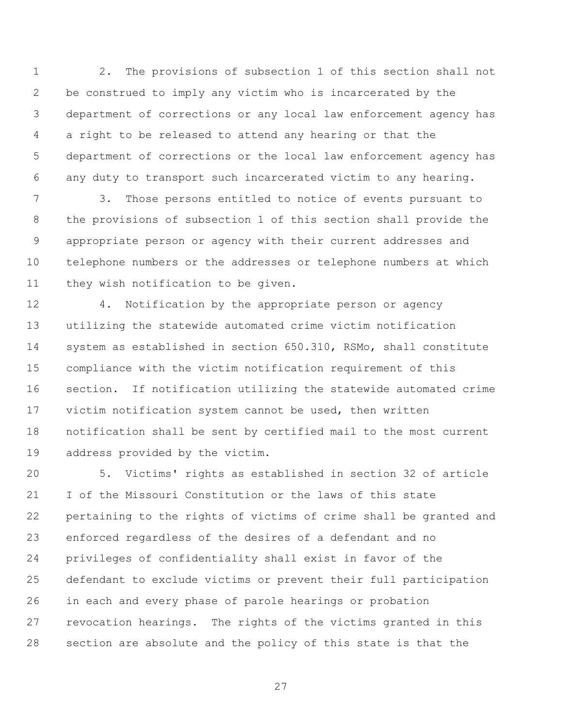2. The provisions of subsection 1 of this section shall not be construed to imply any victim who is incarcerated by the department of corrections or any local law enforcement agency has a right to be released to attend any hearing or that the department of corrections or the local law enforcement agency has any duty to transport such incarcerated victim to any hearing.

 3. Those persons entitled to notice of events pursuant to the provisions of subsection 1 of this section shall provide the appropriate person or agency with their current addresses and telephone numbers or the addresses or telephone numbers at which 11 they wish notification to be given.

 4. Notification by the appropriate person or agency utilizing the statewide automated crime victim notification system as established in section 650.310, RSMo, shall constitute compliance with the victim notification requirement of this section. If notification utilizing the statewide automated crime victim notification system cannot be used, then written notification shall be sent by certified mail to the most current address provided by the victim.

 5. Victims' rights as established in section 32 of article I of the Missouri Constitution or the laws of this state pertaining to the rights of victims of crime shall be granted and enforced regardless of the desires of a defendant and no privileges of confidentiality shall exist in favor of the defendant to exclude victims or prevent their full participation in each and every phase of parole hearings or probation revocation hearings. The rights of the victims granted in this section are absolute and the policy of this state is that the